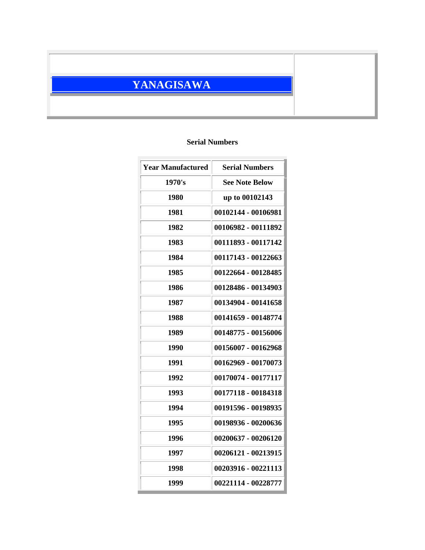## **YANAGISAWA**

## **Serial Numbers**

| <b>Year Manufactured</b> | <b>Serial Numbers</b> |
|--------------------------|-----------------------|
| 1970's                   | <b>See Note Below</b> |
| 1980                     | up to 00102143        |
| 1981                     | 00102144 - 00106981   |
| 1982                     | 00106982 - 00111892   |
| 1983                     | 00111893 - 00117142   |
| 1984                     | 00117143 - 00122663   |
| 1985                     | 00122664 - 00128485   |
| 1986                     | 00128486 - 00134903   |
| 1987                     | 00134904 - 00141658   |
| 1988                     | 00141659 - 00148774   |
| 1989                     | 00148775 - 00156006   |
| 1990                     | 00156007 - 00162968   |
| 1991                     | 00162969 - 00170073   |
| 1992                     | 00170074 - 00177117   |
| 1993                     | 00177118 - 00184318   |
| 1994                     | 00191596 - 00198935   |
| 1995                     | 00198936 - 00200636   |
| 1996                     | 00200637 - 00206120   |
| 1997                     | 00206121 - 00213915   |
| 1998                     | 00203916 - 00221113   |
| 1999                     | 00221114 - 00228777   |